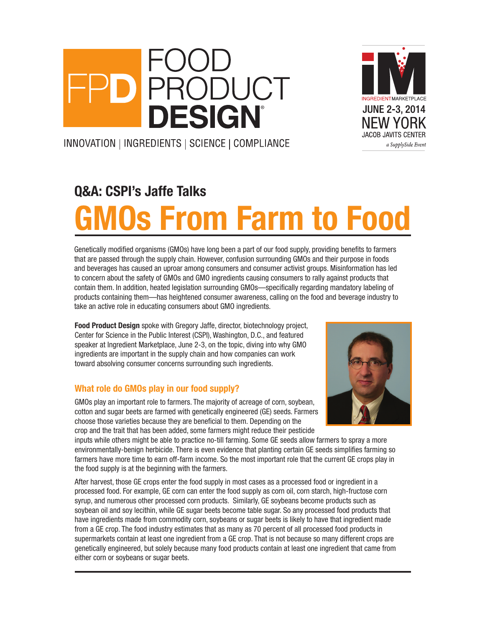# RODUCT **DESIGN**



INNOVATION | INGREDIENTS | SCIENCE | COMPLIANCE

## Q&A: CSPI's Jaffe Talks **10s From Farm to Food**

Genetically modified organisms (GMOs) have long been a part of our food supply, providing benefits to farmers that are passed through the supply chain. However, confusion surrounding GMOs and their purpose in foods and beverages has caused an uproar among consumers and consumer activist groups. Misinformation has led to concern about the safety of GMOs and GMO ingredients causing consumers to rally against products that contain them. In addition, heated legislation surrounding GMOs—specifically regarding mandatory labeling of products containing them—has heightened consumer awareness, calling on the food and beverage industry to take an active role in educating consumers about GMO ingredients.

Food Product Design spoke with Gregory Jaffe, director, biotechnology project, Center for Science in the Public Interest (CSPI), Washington, D.C., and featured speaker at Ingredient Marketplace, June 2-3, on the topic, diving into why GMO ingredients are important in the supply chain and how companies can work toward absolving consumer concerns surrounding such ingredients.

#### What role do GMOs play in our food supply?

GMOs play an important role to farmers. The majority of acreage of corn, soybean, cotton and sugar beets are farmed with genetically engineered (GE) seeds. Farmers choose those varieties because they are beneficial to them. Depending on the crop and the trait that has been added, some farmers might reduce their pesticide



inputs while others might be able to practice no-till farming. Some GE seeds allow farmers to spray a more environmentally-benign herbicide. There is even evidence that planting certain GE seeds simplifies farming so farmers have more time to earn off-farm income. So the most important role that the current GE crops play in the food supply is at the beginning with the farmers.

After harvest, those GE crops enter the food supply in most cases as a processed food or ingredient in a processed food. For example, GE corn can enter the food supply as corn oil, corn starch, high-fructose corn syrup, and numerous other processed corn products. Similarly, GE soybeans become products such as soybean oil and soy lecithin, while GE sugar beets become table sugar. So any processed food products that have ingredients made from commodity corn, soybeans or sugar beets is likely to have that ingredient made from a GE crop. The food industry estimates that as many as 70 percent of all processed food products in supermarkets contain at least one ingredient from a GE crop. That is not because so many different crops are genetically engineered, but solely because many food products contain at least one ingredient that came from either corn or soybeans or sugar beets.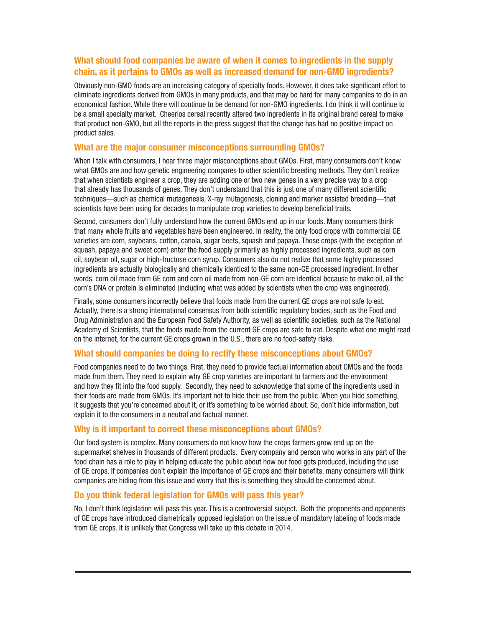#### What should food companies be aware of when it comes to ingredients in the supply chain, as it pertains to GMOs as well as increased demand for non-GMO ingredients?

Obviously non-GMO foods are an increasing category of specialty foods. However, it does take significant effort to eliminate ingredients derived from GMOs in many products, and that may be hard for many companies to do in an economical fashion. While there will continue to be demand for non-GMO ingredients, I do think it will continue to be a small specialty market. Cheerios cereal recently altered two ingredients in its original brand cereal to make that product non-GMO, but all the reports in the press suggest that the change has had no positive impact on product sales.

#### What are the major consumer misconceptions surrounding GMOs?

When I talk with consumers, I hear three major misconceptions about GMOs. First, many consumers don't know what GMOs are and how genetic engineering compares to other scientific breeding methods. They don't realize that when scientists engineer a crop, they are adding one or two new genes in a very precise way to a crop that already has thousands of genes. They don't understand that this is just one of many different scientific techniques—such as chemical mutagenesis, X-ray mutagenesis, cloning and marker assisted breeding—that scientists have been using for decades to manipulate crop varieties to develop beneficial traits.

Second, consumers don't fully understand how the current GMOs end up in our foods. Many consumers think that many whole fruits and vegetables have been engineered. In reality, the only food crops with commercial GE varieties are corn, soybeans, cotton, canola, sugar beets, squash and papaya. Those crops (with the exception of squash, papaya and sweet corn) enter the food supply primarily as highly processed ingredients, such as corn oil, soybean oil, sugar or high-fructose corn syrup. Consumers also do not realize that some highly processed ingredients are actually biologically and chemically identical to the same non-GE processed ingredient. In other words, corn oil made from GE corn and corn oil made from non-GE corn are identical because to make oil, all the corn's DNA or protein is eliminated (including what was added by scientists when the crop was engineered).

Finally, some consumers incorrectly believe that foods made from the current GE crops are not safe to eat. Actually, there is a strong international consensus from both scientific regulatory bodies, such as the Food and Drug Administration and the European Food Safety Authority, as well as scientific societies, such as the National Academy of Scientists, that the foods made from the current GE crops are safe to eat. Despite what one might read on the internet, for the current GE crops grown in the U.S., there are no food-safety risks.

#### What should companies be doing to rectify these misconceptions about GMOs?

Food companies need to do two things. First, they need to provide factual information about GMOs and the foods made from them. They need to explain why GE crop varieties are important to farmers and the environment and how they fit into the food supply. Secondly, they need to acknowledge that some of the ingredients used in their foods are made from GMOs. It's important not to hide their use from the public. When you hide something, it suggests that you're concerned about it, or it's something to be worried about. So, don't hide information, but explain it to the consumers in a neutral and factual manner.

#### Why is it important to correct these misconceptions about GMOs?

Our food system is complex. Many consumers do not know how the crops farmers grow end up on the supermarket shelves in thousands of different products. Every company and person who works in any part of the food chain has a role to play in helping educate the public about how our food gets produced, including the use of GE crops. If companies don't explain the importance of GE crops and their benefits, many consumers will think companies are hiding from this issue and worry that this is something they should be concerned about.

#### Do you think federal legislation for GMOs will pass this year?

No, I don't think legislation will pass this year. This is a controversial subject. Both the proponents and opponents of GE crops have introduced diametrically opposed legislation on the issue of mandatory labeling of foods made from GE crops. It is unlikely that Congress will take up this debate in 2014.